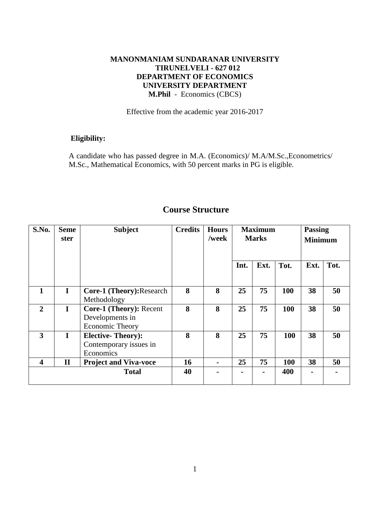## **MANONMANIAM SUNDARANAR UNIVERSITY TIRUNELVELI - 627 012 DEPARTMENT OF ECONOMICS UNIVERSITY DEPARTMENT M.Phil** - Economics (CBCS)

Effective from the academic year 2016-2017

# **Eligibility:**

A candidate who has passed degree in M.A. (Economics)/ M.A/M.Sc.,Econometrics/ M.Sc., Mathematical Economics, with 50 percent marks in PG is eligible.

| S.No.                   | <b>Seme</b><br>ster | <b>Subject</b>                                                       | <b>Credits</b> | <b>Hours</b><br>/week | <b>Maximum</b><br><b>Marks</b> |      |            | <b>Passing</b><br><b>Minimum</b> |      |
|-------------------------|---------------------|----------------------------------------------------------------------|----------------|-----------------------|--------------------------------|------|------------|----------------------------------|------|
|                         |                     |                                                                      |                |                       | Int.                           | Ext. | Tot.       | Ext.                             | Tot. |
| 1                       | $\mathbf I$         | <b>Core-1 (Theory): Research</b><br>Methodology                      | 8              | 8                     | 25                             | 75   | 100        | 38                               | 50   |
| $\overline{2}$          | $\mathbf I$         | <b>Core-1 (Theory): Recent</b><br>Developments in<br>Economic Theory | 8              | 8                     | 25                             | 75   | 100        | 38                               | 50   |
| 3                       | $\mathbf{I}$        | <b>Elective-Theory:</b><br>Contemporary issues in<br>Economics       | 8              | 8                     | 25                             | 75   | <b>100</b> | 38                               | 50   |
| $\overline{\mathbf{4}}$ | $\mathbf{I}$        | <b>Project and Viva-voce</b>                                         | 16             |                       | 25                             | 75   | <b>100</b> | 38                               | 50   |
|                         |                     | <b>Total</b>                                                         | 40             |                       |                                |      | 400        |                                  |      |

# **Course Structure**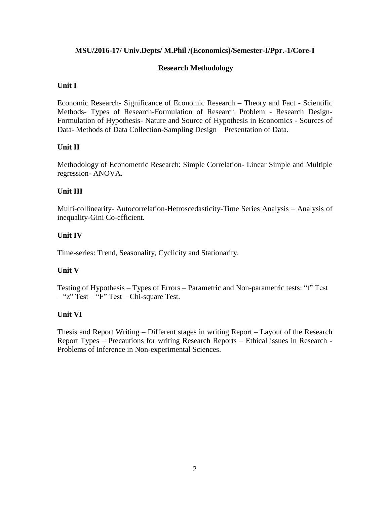## **MSU/2016-17/ Univ.Depts/ M.Phil /(Economics)/Semester-I/Ppr.-1/Core-I**

## **Research Methodology**

## **Unit I**

Economic Research- Significance of Economic Research – Theory and Fact - Scientific Methods- Types of Research-Formulation of Research Problem - Research Design-Formulation of Hypothesis- Nature and Source of Hypothesis in Economics - Sources of Data- Methods of Data Collection-Sampling Design – Presentation of Data.

## **Unit II**

Methodology of Econometric Research: Simple Correlation- Linear Simple and Multiple regression- ANOVA.

## **Unit III**

Multi-collinearity- Autocorrelation-Hetroscedasticity-Time Series Analysis – Analysis of inequality-Gini Co-efficient.

## **Unit IV**

Time-series: Trend, Seasonality, Cyclicity and Stationarity.

#### **Unit V**

Testing of Hypothesis – Types of Errors – Parametric and Non-parametric tests: "t" Test  $-$  "z" Test – "F" Test – Chi-square Test.

## **Unit VI**

Thesis and Report Writing – Different stages in writing Report – Layout of the Research Report Types – Precautions for writing Research Reports – Ethical issues in Research - Problems of Inference in Non-experimental Sciences.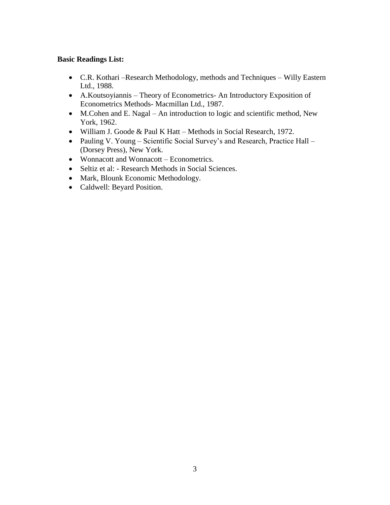#### **Basic Readings List:**

- C.R. Kothari –Research Methodology, methods and Techniques Willy Eastern Ltd., 1988.
- A.Koutsoyiannis Theory of Econometrics- An Introductory Exposition of Econometrics Methods- Macmillan Ltd., 1987.
- M.Cohen and E. Nagal An introduction to logic and scientific method, New York, 1962.
- William J. Goode & Paul K Hatt Methods in Social Research, 1972.
- Pauling V. Young Scientific Social Survey's and Research, Practice Hall (Dorsey Press), New York.
- Wonnacott and Wonnacott Econometrics.
- Seltiz et al: Research Methods in Social Sciences.
- Mark, Blounk Economic Methodology.
- Caldwell: Beyard Position.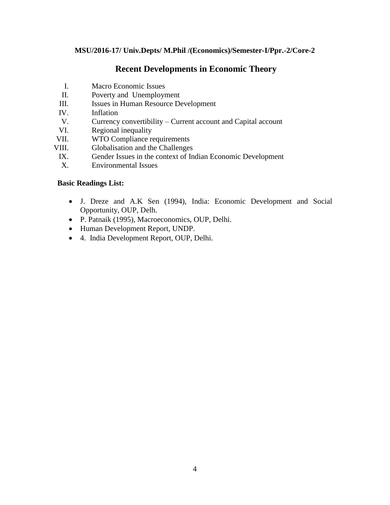## **MSU/2016-17/ Univ.Depts/ M.Phil /(Economics)/Semester-I/Ppr.-2/Core-2**

# **Recent Developments in Economic Theory**

- I. Macro Economic Issues
- II. Poverty and Unemployment
- III. Issues in Human Resource Development
- IV. Inflation
- V. Currency convertibility Current account and Capital account
- VI. Regional inequality
- VII. WTO Compliance requirements
- VIII. Globalisation and the Challenges
	- IX. Gender Issues in the context of Indian Economic Development
	- X. Environmental Issues

#### **Basic Readings List:**

- J. Dreze and A.K Sen (1994), India: Economic Development and Social Opportunity, OUP, Delh.
- P. Patnaik (1995), Macroeconomics, OUP, Delhi.
- Human Development Report, UNDP.
- 4. India Development Report, OUP, Delhi.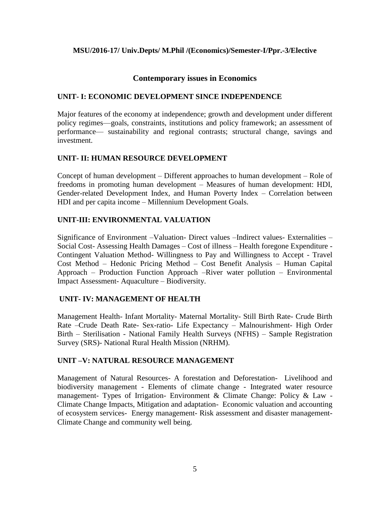## **MSU/2016-17/ Univ.Depts/ M.Phil /(Economics)/Semester-I/Ppr.-3/Elective**

## **Contemporary issues in Economics**

## **UNIT- I: ECONOMIC DEVELOPMENT SINCE INDEPENDENCE**

Major features of the economy at independence; growth and development under different policy regimes—goals, constraints, institutions and policy framework; an assessment of performance— sustainability and regional contrasts; structural change, savings and investment.

## **UNIT- II: HUMAN RESOURCE DEVELOPMENT**

Concept of human development – Different approaches to human development – Role of freedoms in promoting human development – Measures of human development: HDI, Gender-related Development Index, and Human Poverty Index – Correlation between HDI and per capita income – Millennium Development Goals.

## **UNIT-III: ENVIRONMENTAL VALUATION**

Significance of Environment –Valuation- Direct values –Indirect values- Externalities – Social Cost- Assessing Health Damages – Cost of illness – Health foregone Expenditure - Contingent Valuation Method- Willingness to Pay and Willingness to Accept - Travel Cost Method – Hedonic Pricing Method – Cost Benefit Analysis – Human Capital Approach – Production Function Approach –River water pollution – Environmental Impact Assessment- Aquaculture – Biodiversity.

#### **UNIT- IV: MANAGEMENT OF HEALTH**

Management Health- Infant Mortality- Maternal Mortality- Still Birth Rate- Crude Birth Rate –Crude Death Rate- Sex-ratio- Life Expectancy – Malnourishment- High Order Birth – Sterilisation - National Family Health Surveys (NFHS) – Sample Registration Survey (SRS)- National Rural Health Mission (NRHM).

#### **UNIT –V: NATURAL RESOURCE MANAGEMENT**

Management of Natural Resources- A forestation and Deforestation- Livelihood and biodiversity management - Elements of climate change - Integrated water resource management- Types of Irrigation- Environment & Climate Change: Policy & Law - Climate Change Impacts, Mitigation and adaptation- Economic valuation and accounting of ecosystem services- Energy management- Risk assessment and disaster management-Climate Change and community well being.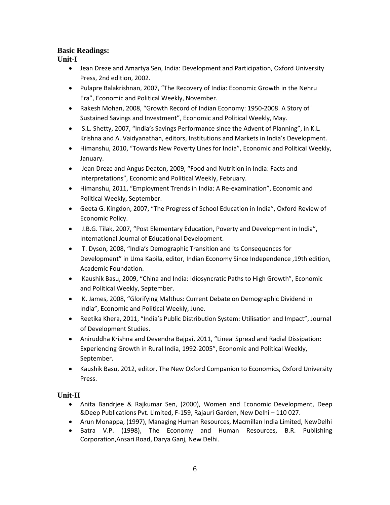# **Basic Readings:**

**Unit-I** 

- Jean Dreze and Amartya Sen, India: Development and Participation, Oxford University Press, 2nd edition, 2002.
- Pulapre Balakrishnan, 2007, "The Recovery of India: Economic Growth in the Nehru Era", Economic and Political Weekly, November.
- Rakesh Mohan, 2008, "Growth Record of Indian Economy: 1950-2008. A Story of Sustained Savings and Investment", Economic and Political Weekly, May.
- S.L. Shetty, 2007, "India's Savings Performance since the Advent of Planning", in K.L. Krishna and A. Vaidyanathan, editors, Institutions and Markets in India's Development.
- Himanshu, 2010, "Towards New Poverty Lines for India", Economic and Political Weekly, January.
- Jean Dreze and Angus Deaton, 2009, "Food and Nutrition in India: Facts and Interpretations", Economic and Political Weekly, February.
- Himanshu, 2011, "Employment Trends in India: A Re-examination", Economic and Political Weekly, September.
- Geeta G. Kingdon, 2007, "The Progress of School Education in India", Oxford Review of Economic Policy.
- J.B.G. Tilak, 2007, "Post Elementary Education, Poverty and Development in India", International Journal of Educational Development.
- T. Dyson, 2008, "India's Demographic Transition and its Consequences for Development" in Uma Kapila, editor, Indian Economy Since Independence ,19th edition, Academic Foundation.
- Kaushik Basu, 2009, "China and India: Idiosyncratic Paths to High Growth", Economic and Political Weekly, September.
- K. James, 2008, "Glorifying Malthus: Current Debate on Demographic Dividend in India", Economic and Political Weekly, June.
- Reetika Khera, 2011, "India's Public Distribution System: Utilisation and Impact", Journal of Development Studies.
- Aniruddha Krishna and Devendra Bajpai, 2011, "Lineal Spread and Radial Dissipation: Experiencing Growth in Rural India, 1992-2005", Economic and Political Weekly, September.
- Kaushik Basu, 2012, editor, The New Oxford Companion to Economics, Oxford University Press.

# **Unit-II**

- Anita Bandrjee & Rajkumar Sen, (2000), Women and Economic Development, Deep &Deep Publications Pvt. Limited, F-159, Rajauri Garden, New Delhi – 110 027.
- Arun Monappa, (1997), Managing Human Resources, Macmillan India Limited, NewDelhi
- Batra V.P. (1998), The Economy and Human Resources, B.R. Publishing Corporation,Ansari Road, Darya Ganj, New Delhi.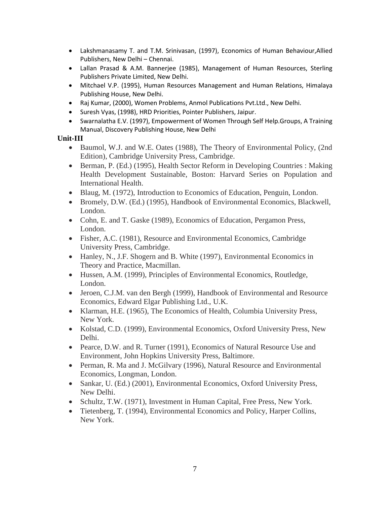- Lakshmanasamy T. and T.M. Srinivasan, (1997), Economics of Human Behaviour,Allied Publishers, New Delhi – Chennai.
- Lallan Prasad & A.M. Bannerjee (1985), Management of Human Resources, Sterling Publishers Private Limited, New Delhi.
- Mitchael V.P. (1995), Human Resources Management and Human Relations, Himalaya Publishing House, New Delhi.
- Raj Kumar, (2000), Women Problems, Anmol Publications Pvt.Ltd., New Delhi.
- Suresh Vyas, (1998), HRD Priorities, Pointer Publishers, Jaipur.
- Swarnalatha E.V. (1997), Empowerment of Women Through Self Help.Groups, A Training Manual, Discovery Publishing House, New Delhi

# **Unit-III**

- Baumol, W.J. and W.E. Oates (1988), The Theory of Environmental Policy, (2nd Edition), Cambridge University Press, Cambridge.
- Berman, P. (Ed.) (1995), Health Sector Reform in Developing Countries : Making Health Development Sustainable, Boston: Harvard Series on Population and International Health.
- Blaug, M. (1972), Introduction to Economics of Education, Penguin, London.
- Bromely, D.W. (Ed.) (1995), Handbook of Environmental Economics, Blackwell, London.
- Cohn, E. and T. Gaske (1989), Economics of Education, Pergamon Press, London.
- Fisher, A.C. (1981), Resource and Environmental Economics, Cambridge University Press, Cambridge.
- Hanley, N., J.F. Shogern and B. White (1997), Environmental Economics in Theory and Practice, Macmillan.
- Hussen, A.M. (1999), Principles of Environmental Economics, Routledge, London.
- Jeroen, C.J.M. van den Bergh (1999), Handbook of Environmental and Resource Economics, Edward Elgar Publishing Ltd., U.K.
- Klarman, H.E. (1965), The Economics of Health, Columbia University Press, New York.
- Kolstad, C.D. (1999), Environmental Economics, Oxford University Press, New Delhi.
- Pearce, D.W. and R. Turner (1991), Economics of Natural Resource Use and Environment, John Hopkins University Press, Baltimore.
- Perman, R. Ma and J. McGilvary (1996), Natural Resource and Environmental Economics, Longman, London.
- Sankar, U. (Ed.) (2001), Environmental Economics, Oxford University Press, New Delhi.
- Schultz, T.W. (1971), Investment in Human Capital, Free Press, New York.
- Tietenberg, T. (1994), Environmental Economics and Policy, Harper Collins, New York.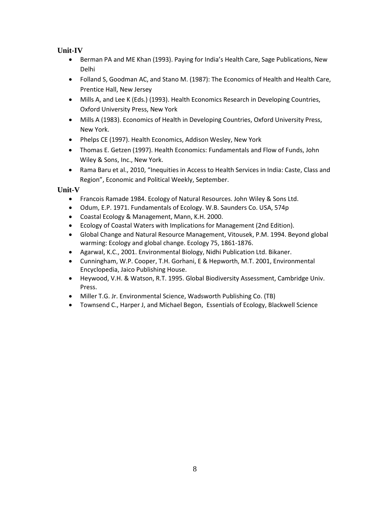# **Unit-IV**

- Berman PA and ME Khan (1993). Paying for India's Health Care, Sage Publications, New Delhi
- Folland S, Goodman AC, and Stano M. (1987): The Economics of Health and Health Care, Prentice Hall, New Jersey
- Mills A, and Lee K (Eds.) (1993). Health Economics Research in Developing Countries, Oxford University Press, New York
- Mills A (1983). Economics of Health in Developing Countries, Oxford University Press, New York.
- Phelps CE (1997). Health Economics, Addison Wesley, New York
- Thomas E. Getzen (1997). Health Economics: Fundamentals and Flow of Funds, John Wiley & Sons, Inc., New York.
- Rama Baru et al., 2010, "Inequities in Access to Health Services in India: Caste, Class and Region", Economic and Political Weekly, September.

## **Unit-V**

- Francois Ramade 1984. Ecology of Natural Resources. John Wiley & Sons Ltd.
- Odum, E.P. 1971. Fundamentals of Ecology. W.B. Saunders Co. USA, 574p
- Coastal Ecology & Management, Mann, K.H. 2000.
- Ecology of Coastal Waters with Implications for Management (2nd Edition).
- Global Change and Natural Resource Management, Vitousek, P.M. 1994. Beyond global warming: Ecology and global change. Ecology 75, 1861-1876.
- Agarwal, K.C., 2001. Environmental Biology, Nidhi Publication Ltd. Bikaner.
- Cunningham, W.P. Cooper, T.H. Gorhani, E & Hepworth, M.T. 2001, Environmental Encyclopedia, Jaico Publishing House.
- Heywood, V.H. & Watson, R.T. 1995. Global Biodiversity Assessment, Cambridge Univ. Press.
- Miller T.G. Jr. Environmental Science, Wadsworth Publishing Co. (TB)
- Townsend C., Harper J, and Michael Begon, Essentials of Ecology, Blackwell Science